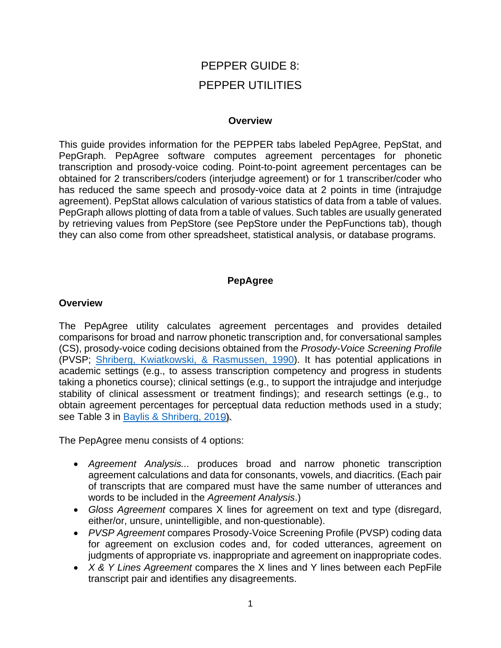# PEPPER GUIDE 8: PEPPER UTILITIES

#### **Overview**

This guide provides information for the PEPPER tabs labeled PepAgree, PepStat, and PepGraph. PepAgree software computes agreement percentages for phonetic transcription and prosody-voice coding. Point-to-point agreement percentages can be obtained for 2 transcribers/coders (interjudge agreement) or for 1 transcriber/coder who has reduced the same speech and prosody-voice data at 2 points in time (intrajudge agreement). PepStat allows calculation of various statistics of data from a table of values. PepGraph allows plotting of data from a table of values. Such tables are usually generated by retrieving values from PepStore (see PepStore under the PepFunctions tab), though they can also come from other spreadsheet, statistical analysis, or database programs.

## **PepAgree**

## **Overview**

The PepAgree utility calculates agreement percentages and provides detailed comparisons for broad and narrow phonetic transcription and, for conversational samples (CS), prosody-voice coding decisions obtained from the *Prosody-Voice Screening Profile* (PVSP; [Shriberg, Kwiatkowski, & Rasmussen, 1990](https://uwmadison.box.com/s/dw2pvjnd0cjxw989e5m4ew019z39elg2)). It has potential applications in academic settings (e.g., to assess transcription competency and progress in students taking a phonetics course); clinical settings (e.g., to support the intrajudge and interjudge stability of clinical assessment or treatment findings); and research settings (e.g., to obtain agreement percentages for perceptual data reduction methods used in a study; see Table 3 in [Baylis & Shriberg, 2019](https://phonology.waisman.wisc.edu/wp-content/uploads/sites/532/2018/12/PUB103.pdf)).

The PepAgree menu consists of 4 options:

- *Agreement Analysis...* produces broad and narrow phonetic transcription agreement calculations and data for consonants, vowels, and diacritics. (Each pair of transcripts that are compared must have the same number of utterances and words to be included in the *Agreement Analysis*.)
- *Gloss Agreement* compares X lines for agreement on text and type (disregard, either/or, unsure, unintelligible, and non-questionable).
- *PVSP Agreement* compares Prosody-Voice Screening Profile (PVSP) coding data for agreement on exclusion codes and, for coded utterances, agreement on judgments of appropriate vs. inappropriate and agreement on inappropriate codes.
- *X & Y Lines Agreement* compares the X lines and Y lines between each PepFile transcript pair and identifies any disagreements.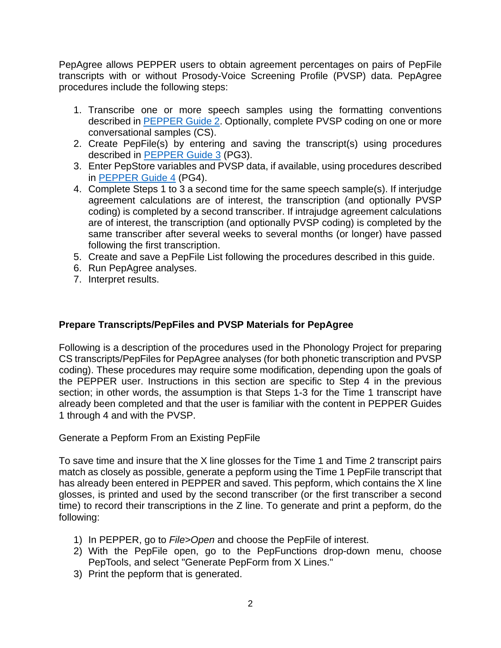PepAgree allows PEPPER users to obtain agreement percentages on pairs of PepFile transcripts with or without Prosody-Voice Screening Profile (PVSP) data. PepAgree procedures include the following steps:

- 1. Transcribe one or more speech samples using the formatting conventions described in [PEPPER Guide 2.](https://phonology.waisman.wisc.edu/wp-content/uploads/sites/532/2019/07/PEPPER-Guide-2.pdf) Optionally, complete PVSP coding on one or more conversational samples (CS).
- 2. Create PepFile(s) by entering and saving the transcript(s) using procedures described in [PEPPER Guide 3](https://phonology.waisman.wisc.edu/wp-content/uploads/sites/532/2019/07/PEPPER-Guide-3.pdf) (PG3).
- 3. Enter PepStore variables and PVSP data, if available, using procedures described in [PEPPER Guide 4](https://phonology.waisman.wisc.edu/wp-content/uploads/sites/532/2019/07/PEPPER-Guide-4.pdf) (PG4).
- 4. Complete Steps 1 to 3 a second time for the same speech sample(s). If interjudge agreement calculations are of interest, the transcription (and optionally PVSP coding) is completed by a second transcriber. If intrajudge agreement calculations are of interest, the transcription (and optionally PVSP coding) is completed by the same transcriber after several weeks to several months (or longer) have passed following the first transcription.
- 5. Create and save a PepFile List following the procedures described in this guide.
- 6. Run PepAgree analyses.
- 7. Interpret results.

## **Prepare Transcripts/PepFiles and PVSP Materials for PepAgree**

Following is a description of the procedures used in the Phonology Project for preparing CS transcripts/PepFiles for PepAgree analyses (for both phonetic transcription and PVSP coding). These procedures may require some modification, depending upon the goals of the PEPPER user. Instructions in this section are specific to Step 4 in the previous section; in other words, the assumption is that Steps 1-3 for the Time 1 transcript have already been completed and that the user is familiar with the content in PEPPER Guides 1 through 4 and with the PVSP.

Generate a Pepform From an Existing PepFile

To save time and insure that the X line glosses for the Time 1 and Time 2 transcript pairs match as closely as possible, generate a pepform using the Time 1 PepFile transcript that has already been entered in PEPPER and saved. This pepform, which contains the X line glosses, is printed and used by the second transcriber (or the first transcriber a second time) to record their transcriptions in the Z line. To generate and print a pepform, do the following:

- 1) In PEPPER, go to *File>Open* and choose the PepFile of interest.
- 2) With the PepFile open, go to the PepFunctions drop-down menu, choose PepTools, and select "Generate PepForm from X Lines."
- 3) Print the pepform that is generated.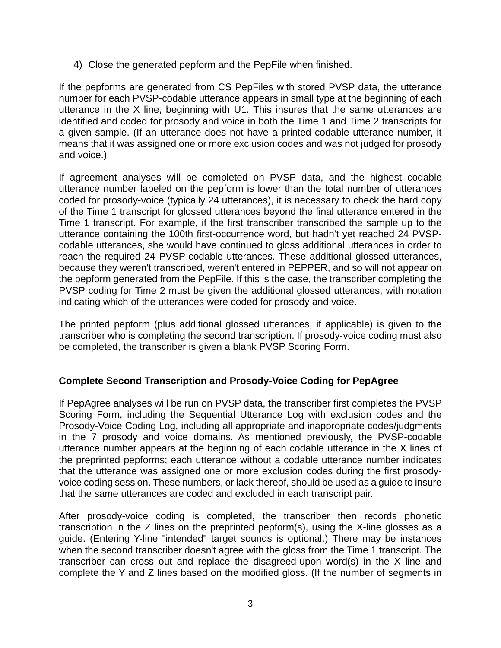4) Close the generated pepform and the PepFile when finished.

If the pepforms are generated from CS PepFiles with stored PVSP data, the utterance number for each PVSP-codable utterance appears in small type at the beginning of each utterance in the X line, beginning with U1. This insures that the same utterances are identified and coded for prosody and voice in both the Time 1 and Time 2 transcripts for a given sample. (If an utterance does not have a printed codable utterance number, it means that it was assigned one or more exclusion codes and was not judged for prosody and voice.)

If agreement analyses will be completed on PVSP data, and the highest codable utterance number labeled on the pepform is lower than the total number of utterances coded for prosody-voice (typically 24 utterances), it is necessary to check the hard copy of the Time 1 transcript for glossed utterances beyond the final utterance entered in the Time 1 transcript. For example, if the first transcriber transcribed the sample up to the utterance containing the 100th first-occurrence word, but hadn't yet reached 24 PVSPcodable utterances, she would have continued to gloss additional utterances in order to reach the required 24 PVSP-codable utterances. These additional glossed utterances, because they weren't transcribed, weren't entered in PEPPER, and so will not appear on the pepform generated from the PepFile. If this is the case, the transcriber completing the PVSP coding for Time 2 must be given the additional glossed utterances, with notation indicating which of the utterances were coded for prosody and voice.

The printed pepform (plus additional glossed utterances, if applicable) is given to the transcriber who is completing the second transcription. If prosody-voice coding must also be completed, the transcriber is given a blank PVSP Scoring Form.

## **Complete Second Transcription and Prosody-Voice Coding for PepAgree**

If PepAgree analyses will be run on PVSP data, the transcriber first completes the PVSP Scoring Form, including the Sequential Utterance Log with exclusion codes and the Prosody-Voice Coding Log, including all appropriate and inappropriate codes/judgments in the 7 prosody and voice domains. As mentioned previously, the PVSP-codable utterance number appears at the beginning of each codable utterance in the X lines of the preprinted pepforms; each utterance without a codable utterance number indicates that the utterance was assigned one or more exclusion codes during the first prosodyvoice coding session. These numbers, or lack thereof, should be used as a guide to insure that the same utterances are coded and excluded in each transcript pair.

After prosody-voice coding is completed, the transcriber then records phonetic transcription in the Z lines on the preprinted pepform(s), using the X-line glosses as a guide. (Entering Y-line "intended" target sounds is optional.) There may be instances when the second transcriber doesn't agree with the gloss from the Time 1 transcript. The transcriber can cross out and replace the disagreed-upon word(s) in the X line and complete the Y and Z lines based on the modified gloss. (If the number of segments in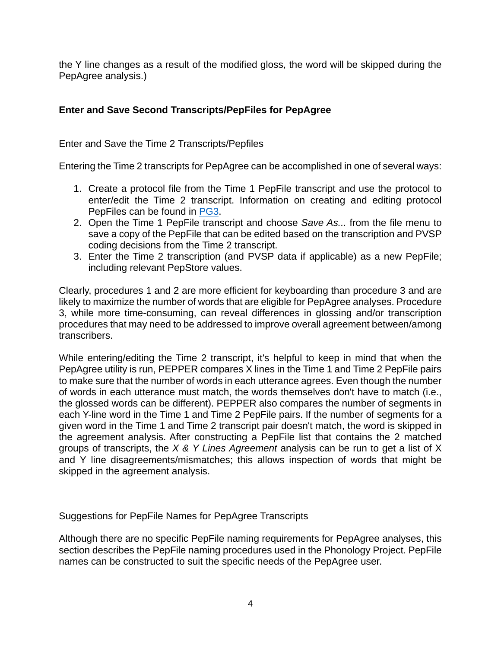the Y line changes as a result of the modified gloss, the word will be skipped during the PepAgree analysis.)

# **Enter and Save Second Transcripts/PepFiles for PepAgree**

Enter and Save the Time 2 Transcripts/Pepfiles

Entering the Time 2 transcripts for PepAgree can be accomplished in one of several ways:

- 1. Create a protocol file from the Time 1 PepFile transcript and use the protocol to enter/edit the Time 2 transcript. Information on creating and editing protocol PepFiles can be found in [PG3](https://phonology.waisman.wisc.edu/wp-content/uploads/sites/532/2019/07/PEPPER-Guide-3.pdf).
- 2. Open the Time 1 PepFile transcript and choose *Save As...* from the file menu to save a copy of the PepFile that can be edited based on the transcription and PVSP coding decisions from the Time 2 transcript.
- 3. Enter the Time 2 transcription (and PVSP data if applicable) as a new PepFile; including relevant PepStore values.

Clearly, procedures 1 and 2 are more efficient for keyboarding than procedure 3 and are likely to maximize the number of words that are eligible for PepAgree analyses. Procedure 3, while more time-consuming, can reveal differences in glossing and/or transcription procedures that may need to be addressed to improve overall agreement between/among transcribers.

While entering/editing the Time 2 transcript, it's helpful to keep in mind that when the PepAgree utility is run, PEPPER compares X lines in the Time 1 and Time 2 PepFile pairs to make sure that the number of words in each utterance agrees. Even though the number of words in each utterance must match, the words themselves don't have to match (i.e., the glossed words can be different). PEPPER also compares the number of segments in each Y-line word in the Time 1 and Time 2 PepFile pairs. If the number of segments for a given word in the Time 1 and Time 2 transcript pair doesn't match, the word is skipped in the agreement analysis. After constructing a PepFile list that contains the 2 matched groups of transcripts, the *X & Y Lines Agreement* analysis can be run to get a list of X and Y line disagreements/mismatches; this allows inspection of words that might be skipped in the agreement analysis.

Suggestions for PepFile Names for PepAgree Transcripts

Although there are no specific PepFile naming requirements for PepAgree analyses, this section describes the PepFile naming procedures used in the Phonology Project. PepFile names can be constructed to suit the specific needs of the PepAgree user.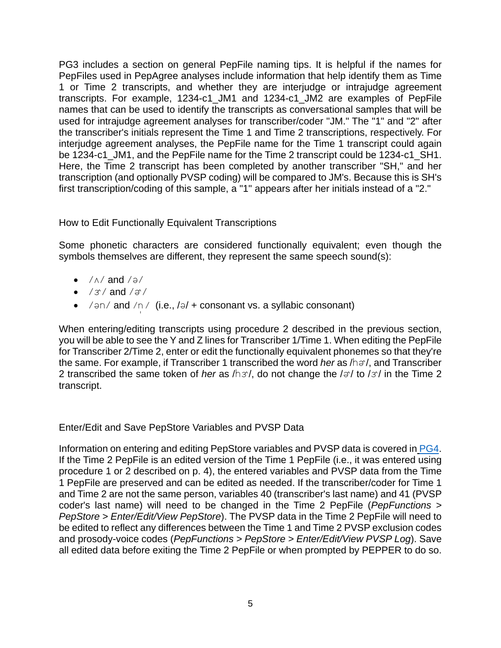PG3 includes a section on general PepFile naming tips. It is helpful if the names for PepFiles used in PepAgree analyses include information that help identify them as Time 1 or Time 2 transcripts, and whether they are interjudge or intrajudge agreement transcripts. For example, 1234-c1\_JM1 and 1234-c1\_JM2 are examples of PepFile names that can be used to identify the transcripts as conversational samples that will be used for intrajudge agreement analyses for transcriber/coder "JM." The "1" and "2" after the transcriber's initials represent the Time 1 and Time 2 transcriptions, respectively. For interjudge agreement analyses, the PepFile name for the Time 1 transcript could again be 1234-c1 JM1, and the PepFile name for the Time 2 transcript could be 1234-c1 SH1. Here, the Time 2 transcript has been completed by another transcriber "SH," and her transcription (and optionally PVSP coding) will be compared to JM's. Because this is SH's first transcription/coding of this sample, a "1" appears after her initials instead of a "2."

## How to Edit Functionally Equivalent Transcriptions

Some phonetic characters are considered functionally equivalent; even though the symbols themselves are different, they represent the same speech sound(s):

- $/\land$  and  $/ \ni$ /
- $\bullet$  /3/ and / $\circ$ /
- $\bullet$  /  $\theta$ n/ and /n/ (i.e., / $\theta$ / + consonant vs. a syllabic consonant)

When entering/editing transcripts using procedure 2 described in the previous section, you will be able to see the Y and Z lines for Transcriber 1/Time 1. When editing the PepFile for Transcriber 2/Time 2, enter or edit the functionally equivalent phonemes so that they're the same. For example, if Transcriber 1 transcribed the word *her* as  $/h\sigma$ , and Transcriber 2 transcribed the same token of *her* as  $/h\alpha$ , do not change the  $/\alpha$  to  $/\alpha$  in the Time 2 transcript.

## Enter/Edit and Save PepStore Variables and PVSP Data

Information on entering and editing PepStore variables and PVSP data is covered in [PG4.](https://phonology.waisman.wisc.edu/wp-content/uploads/sites/532/2019/07/PEPPER-Guide-4.pdf) If the Time 2 PepFile is an edited version of the Time 1 PepFile (i.e., it was entered using procedure 1 or 2 described on p. 4), the entered variables and PVSP data from the Time 1 PepFile are preserved and can be edited as needed. If the transcriber/coder for Time 1 and Time 2 are not the same person, variables 40 (transcriber's last name) and 41 (PVSP coder's last name) will need to be changed in the Time 2 PepFile (*PepFunctions > PepStore > Enter/Edit/View PepStore*). The PVSP data in the Time 2 PepFile will need to be edited to reflect any differences between the Time 1 and Time 2 PVSP exclusion codes and prosody-voice codes (*PepFunctions > PepStore > Enter/Edit/View PVSP Log*). Save all edited data before exiting the Time 2 PepFile or when prompted by PEPPER to do so.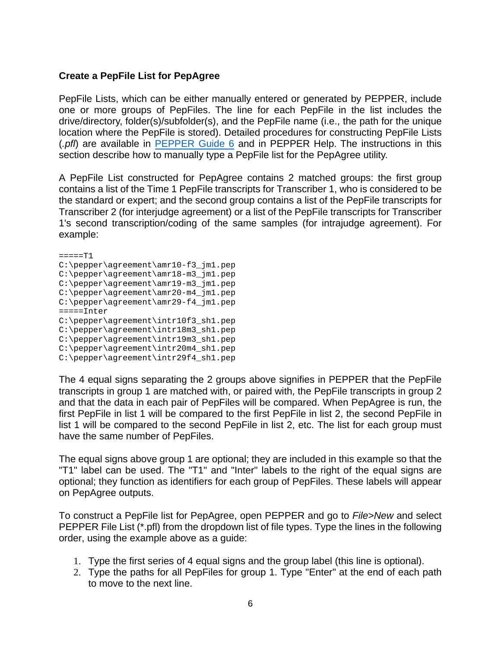## **Create a PepFile List for PepAgree**

PepFile Lists, which can be either manually entered or generated by PEPPER, include one or more groups of PepFiles. The line for each PepFile in the list includes the drive/directory, folder(s)/subfolder(s), and the PepFile name (i.e., the path for the unique location where the PepFile is stored). Detailed procedures for constructing PepFile Lists (*.pfl*) are available in [PEPPER Guide 6](https://phonology.waisman.wisc.edu/wp-content/uploads/sites/532/2019/08/PEPPER-Guide-6.pdf) and in PEPPER Help. The instructions in this section describe how to manually type a PepFile list for the PepAgree utility.

A PepFile List constructed for PepAgree contains 2 matched groups: the first group contains a list of the Time 1 PepFile transcripts for Transcriber 1, who is considered to be the standard or expert; and the second group contains a list of the PepFile transcripts for Transcriber 2 (for interjudge agreement) or a list of the PepFile transcripts for Transcriber 1's second transcription/coding of the same samples (for intrajudge agreement). For example:

 $====T1$ C:\pepper\agreement\amr10-f3\_jm1.pep C:\pepper\agreement\amr18-m3\_jm1.pep C:\pepper\agreement\amr19-m3\_jm1.pep C:\pepper\agreement\amr20-m4\_jm1.pep C:\pepper\agreement\amr29-f4\_jm1.pep =====Inter C:\pepper\agreement\intr10f3\_sh1.pep C:\pepper\agreement\intr18m3\_sh1.pep C:\pepper\agreement\intr19m3\_sh1.pep C:\pepper\agreement\intr20m4\_sh1.pep C:\pepper\agreement\intr29f4\_sh1.pep

The 4 equal signs separating the 2 groups above signifies in PEPPER that the PepFile transcripts in group 1 are matched with, or paired with, the PepFile transcripts in group 2 and that the data in each pair of PepFiles will be compared. When PepAgree is run, the first PepFile in list 1 will be compared to the first PepFile in list 2, the second PepFile in list 1 will be compared to the second PepFile in list 2, etc. The list for each group must have the same number of PepFiles.

The equal signs above group 1 are optional; they are included in this example so that the "T1" label can be used. The "T1" and "Inter" labels to the right of the equal signs are optional; they function as identifiers for each group of PepFiles. These labels will appear on PepAgree outputs.

To construct a PepFile list for PepAgree, open PEPPER and go to *File>New* and select PEPPER File List (\*.pfl) from the dropdown list of file types. Type the lines in the following order, using the example above as a guide:

- 1. Type the first series of 4 equal signs and the group label (this line is optional).
- 2. Type the paths for all PepFiles for group 1. Type "Enter" at the end of each path to move to the next line.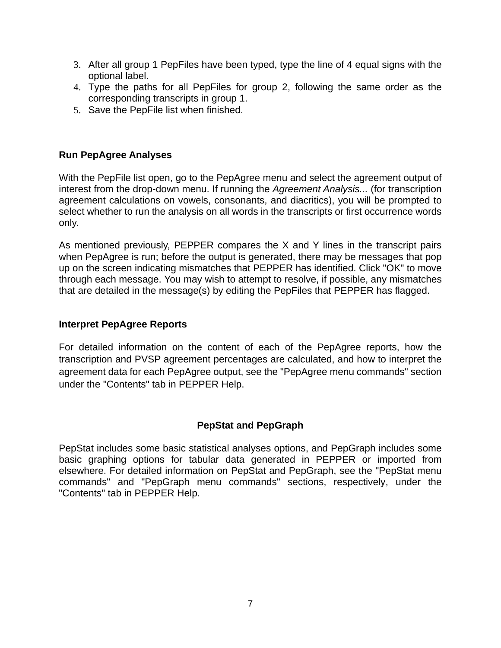- 3. After all group 1 PepFiles have been typed, type the line of 4 equal signs with the optional label.
- 4. Type the paths for all PepFiles for group 2, following the same order as the corresponding transcripts in group 1.
- 5. Save the PepFile list when finished.

## **Run PepAgree Analyses**

With the PepFile list open, go to the PepAgree menu and select the agreement output of interest from the drop-down menu. If running the *Agreement Analysis...* (for transcription agreement calculations on vowels, consonants, and diacritics), you will be prompted to select whether to run the analysis on all words in the transcripts or first occurrence words only.

As mentioned previously, PEPPER compares the X and Y lines in the transcript pairs when PepAgree is run; before the output is generated, there may be messages that pop up on the screen indicating mismatches that PEPPER has identified. Click "OK" to move through each message. You may wish to attempt to resolve, if possible, any mismatches that are detailed in the message(s) by editing the PepFiles that PEPPER has flagged.

## **Interpret PepAgree Reports**

For detailed information on the content of each of the PepAgree reports, how the transcription and PVSP agreement percentages are calculated, and how to interpret the agreement data for each PepAgree output, see the "PepAgree menu commands" section under the "Contents" tab in PEPPER Help.

## **PepStat and PepGraph**

PepStat includes some basic statistical analyses options, and PepGraph includes some basic graphing options for tabular data generated in PEPPER or imported from elsewhere. For detailed information on PepStat and PepGraph, see the "PepStat menu commands" and "PepGraph menu commands" sections, respectively, under the "Contents" tab in PEPPER Help.